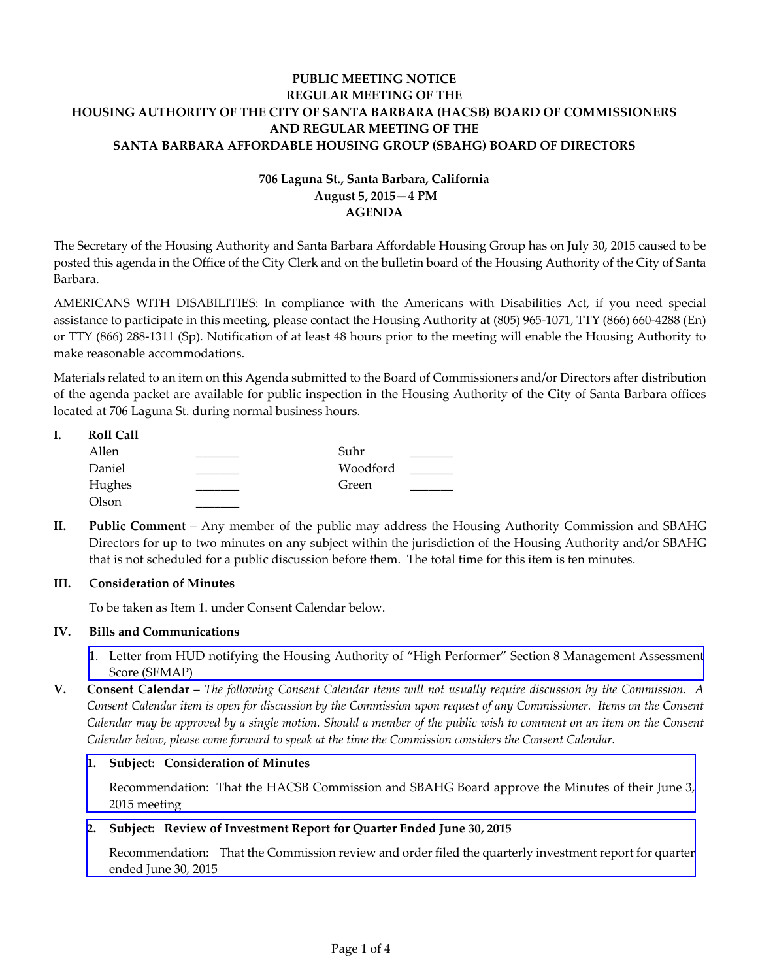## **PUBLIC MEETING NOTICE REGULAR MEETING OF THE HOUSING AUTHORITY OF THE CITY OF SANTA BARBARA (HACSB) BOARD OF COMMISSIONERS AND REGULAR MEETING OF THE SANTA BARBARA AFFORDABLE HOUSING GROUP (SBAHG) BOARD OF DIRECTORS**

# **706 Laguna St., Santa Barbara, California August 5, 2015—4 PM AGENDA**

The Secretary of the Housing Authority and Santa Barbara Affordable Housing Group has on July 30, 2015 caused to be posted this agenda in the Office of the City Clerk and on the bulletin board of the Housing Authority of the City of Santa Barbara.

AMERICANS WITH DISABILITIES: In compliance with the Americans with Disabilities Act, if you need special assistance to participate in this meeting, please contact the Housing Authority at (805) 965-1071, TTY (866) 660-4288 (En) or TTY (866) 288-1311 (Sp). Notification of at least 48 hours prior to the meeting will enable the Housing Authority to make reasonable accommodations.

Materials related to an item on this Agenda submitted to the Board of Commissioners and/or Directors after distribution of the agenda packet are available for public inspection in the Housing Authority of the City of Santa Barbara offices located at 706 Laguna St. during normal business hours.

| <b>Roll Call</b> |          |  |
|------------------|----------|--|
| Allen            | Suhr     |  |
| Daniel           | Woodford |  |
| Hughes           | Green    |  |
| Olson            |          |  |

**II. Public Comment** – Any member of the public may address the Housing Authority Commission and SBAHG Directors for up to two minutes on any subject within the jurisdiction of the Housing Authority and/or SBAHG that is not scheduled for a public discussion before them. The total time for this item is ten minutes.

### **III. Consideration of Minutes**

To be taken as Item 1. under Consent Calendar below.

#### **IV. Bills and Communications**

- [1. Letter from HUD notifying the Housing Authority of "High Performer" Section 8 Management Assessment](http://hacsb.org/download/meetings-2015/items/august/item_IV_I_2015_08_05.pdf)  Score (SEMAP)
- **V. Consent Calendar** *The following Consent Calendar items will not usually require discussion by the Commission. A Consent Calendar item is open for discussion by the Commission upon request of any Commissioner. Items on the Consent Calendar may be approved by a single motion. Should a member of the public wish to comment on an item on the Consent Calendar below, please come forward to speak at the time the Commission considers the Consent Calendar.*

#### **1. Subject: Consideration of Minutes**

[Recommendation: That the HACSB Commission and SBAHG Board approve the Minutes of their June 3,](http://hacsb.org/download/meetings-2015/items/august/item_V_I_2015_08_05.pdf)  2015 meeting

#### **2. Subject: Review of Investment Report for Quarter Ended June 30, 2015**

[Recommendation: That the Commission review and order filed the quarterly investment report for quarter](http://hacsb.org/download/meetings-2015/items/august/item_V_II_2015_08_05.pdf)  ended June 30, 2015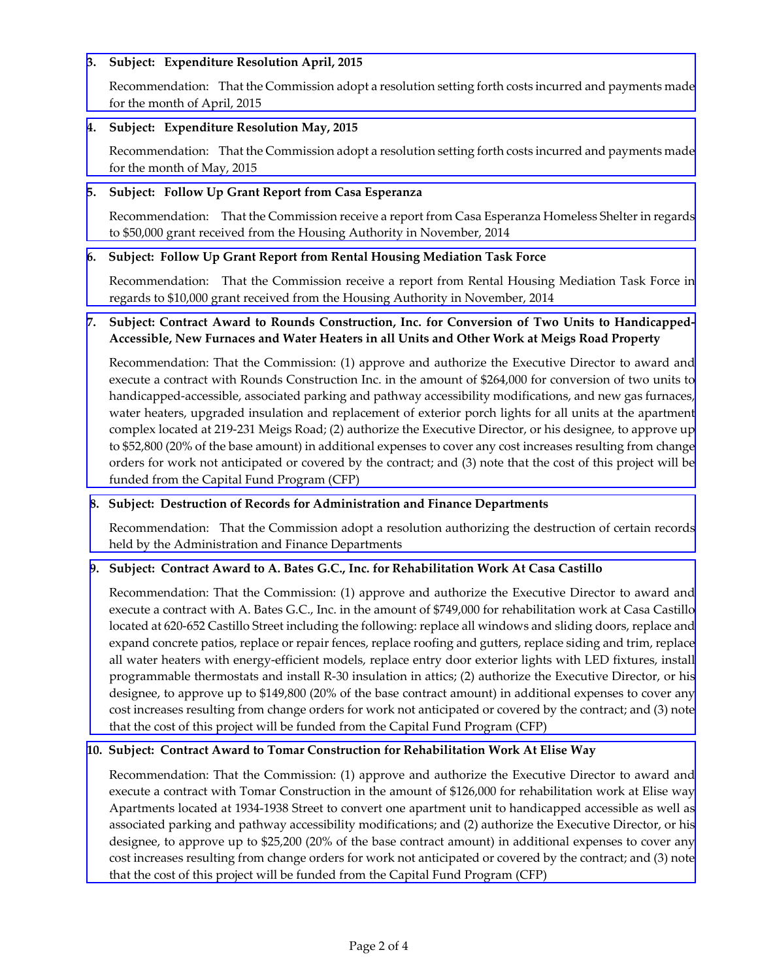### **3. Subject: Expenditure Resolution April, 2015**

 [Recommendation: That the Commission adopt a resolution setting forth costs incurred and payments made](http://hacsb.org/download/meetings-2015/items/august/item_V_III_2015_08_05.pdf)  for the month of April, 2015

#### **4. Subject: Expenditure Resolution May, 2015**

[Recommendation: That the Commission adopt a resolution setting forth costs incurred and payments made](http://hacsb.org/download/meetings-2015/items/august/item_V_IV_2015_08_05.pdf)  for the month of May, 2015

#### **5. Subject: Follow Up Grant Report from Casa Esperanza**

[Recommendation: That the Commission receive a report from Casa Esperanza Homeless Shelter in regards](http://hacsb.org/download/meetings-2015/items/august/item_V_V_2015_08_05.pdf)  to \$50,000 grant received from the Housing Authority in November, 2014

#### **6. Subject: Follow Up Grant Report from Rental Housing Mediation Task Force**

 [Recommendation: That the Commission receive a report from Rental Housing Mediation Task Force in](http://hacsb.org/download/meetings-2015/items/august/item_V_VI_2015_08_05.pdf)  regards to \$10,000 grant received from the Housing Authority in November, 2014

### **7. Subject: Contract Award to Rounds Construction, Inc. for Conversion of Two Units to Handicapped-Accessible, New Furnaces and Water Heaters in all Units and Other Work at Meigs Road Property**

 [Recommendation: That the Commission: \(1\) approve and authorize the Executive Director to award and](http://hacsb.org/download/meetings-2015/items/august/item_V_VII_2015_08_05.pdf)  execute a contract with Rounds Construction Inc. in the amount of \$264,000 for conversion of two units to handicapped-accessible, associated parking and pathway accessibility modifications, and new gas furnaces, water heaters, upgraded insulation and replacement of exterior porch lights for all units at the apartment complex located at 219-231 Meigs Road; (2) authorize the Executive Director, or his designee, to approve up to \$52,800 (20% of the base amount) in additional expenses to cover any cost increases resulting from change orders for work not anticipated or covered by the contract; and (3) note that the cost of this project will be funded from the Capital Fund Program (CFP)

### **8. Subject: Destruction of Records for Administration and Finance Departments**

 [Recommendation: That the Commission adopt a resolution authorizing the destruction of certain records](http://hacsb.org/download/meetings-2015/items/august/item_V_VIII_2015_08_05.pdf)  held by the Administration and Finance Departments

### **9. Subject: Contract Award to A. Bates G.C., Inc. for Rehabilitation Work At Casa Castillo**

[Recommendation: That the Commission: \(1\) approve and authorize the Executive Director to award and](http://hacsb.org/download/meetings-2015/items/august/item_V_IX_2015_08_05.pdf)  execute a contract with A. Bates G.C., Inc. in the amount of \$749,000 for rehabilitation work at Casa Castillo located at 620-652 Castillo Street including the following: replace all windows and sliding doors, replace and expand concrete patios, replace or repair fences, replace roofing and gutters, replace siding and trim, replace all water heaters with energy-efficient models, replace entry door exterior lights with LED fixtures, install programmable thermostats and install R-30 insulation in attics; (2) authorize the Executive Director, or his designee, to approve up to \$149,800 (20% of the base contract amount) in additional expenses to cover any cost increases resulting from change orders for work not anticipated or covered by the contract; and (3) note that the cost of this project will be funded from the Capital Fund Program (CFP)

#### **10. Subject: Contract Award to Tomar Construction for Rehabilitation Work At Elise Way**

Recommendation: That the Commission: (1) approve and authorize the Executive Director to award and execute a contract with Tomar Construction in the amount of \$126,000 for rehabilitation work at Elise way Apartments located at 1934-1938 Street to convert one apartment unit to handicapped accessible as well as associated parking and pathway accessibility modifications; and (2) authorize the Executive Director, or his [designee, to approve up to \\$25,200 \(20% of the base contract amount\) in additional expenses to cover any](http://hacsb.org/download/meetings-2015/items/august/item_V_X_2015_08_05.pdf)  cost increases resulting from change orders for work not anticipated or covered by the contract; and (3) note that the cost of this project will be funded from the Capital Fund Program (CFP)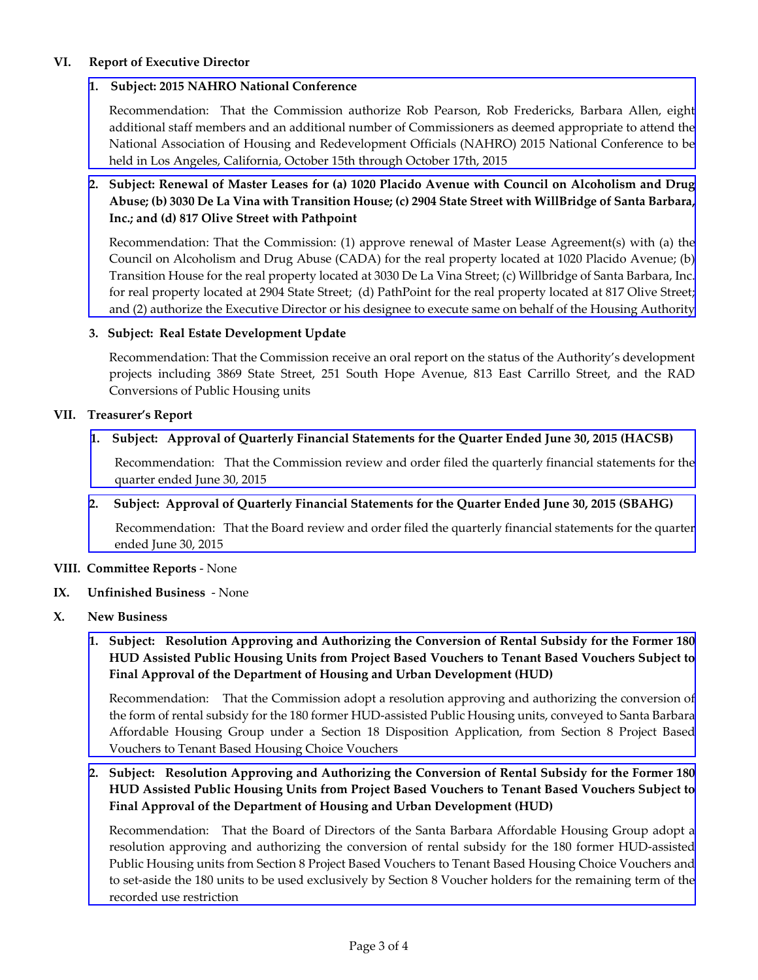#### **VI. Report of Executive Director**

### **1. Subject: 2015 NAHRO National Conference**

 [Recommendation: That the Commission authorize Rob Pearson, Rob Fredericks, Barbara Allen, eight](http://hacsb.org/download/meetings-2015/items/august/item_VI_I_2015_08_05.pdf)  additional staff members and an additional number of Commissioners as deemed appropriate to attend the National Association of Housing and Redevelopment Officials (NAHRO) 2015 National Conference to be held in Los Angeles, California, October 15th through October 17th, 2015

# **[2. Subject: Renewal of Master Leases for \(a\) 1020 Placido Avenue with Council on Alcoholism and Drug](http://hacsb.org/download/meetings-2015/items/august/item_VI_II_2015_08_05.pdf)  Abuse; (b) 3030 De La Vina with Transition House; (c) 2904 State Street with WillBridge of Santa Barbara, Inc.; and (d) 817 Olive Street with Pathpoint**

 Recommendation: That the Commission: (1) approve renewal of Master Lease Agreement(s) with (a) the Council on Alcoholism and Drug Abuse (CADA) for the real property located at 1020 Placido Avenue; (b) Transition House for the real property located at 3030 De La Vina Street; (c) Willbridge of Santa Barbara, Inc. for real property located at 2904 State Street; (d) PathPoint for the real property located at 817 Olive Street; and (2) authorize the Executive Director or his designee to execute same on behalf of the Housing Authority

### **3. Subject: Real Estate Development Update**

 Recommendation: That the Commission receive an oral report on the status of the Authority's development projects including 3869 State Street, 251 South Hope Avenue, 813 East Carrillo Street, and the RAD Conversions of Public Housing units

### **VII. Treasurer's Report**

## **[1. Subject: Approval of Quarterly Financial Statements for the Quarter Ended June 30, 2015 \(HACSB\)](http://hacsb.org/download/meetings-2015/items/august/item_VII_I_2015_08_05.pdf)**

Recommendation: That the Commission review and order filed the quarterly financial statements for the quarter ended June 30, 2015

 **[2. Subject: Approval of Quarterly Financial Statements for the Quarter Ended June 30, 2015 \(SBAHG\)](http://hacsb.org/download/meetings-2015/items/august/item_VII_II_2015_08_05.pdf)** 

Recommendation: That the Board review and order filed the quarterly financial statements for the quarter ended June 30, 2015

### **VIII. Committee Reports** - None

- **IX. Unfinished Business**  None
- **X. New Business** 
	- **[1. Subject: Resolution Approving and Authorizing the Conversion of Rental Subsidy for the Former 180](http://hacsb.org/download/meetings-2015/items/august/item_X_I-X_2_2015_08_05.pdf)  HUD Assisted Public Housing Units from Project Based Vouchers to Tenant Based Vouchers Subject to Final Approval of the Department of Housing and Urban Development (HUD)**

 Recommendation: That the Commission adopt a resolution approving and authorizing the conversion of the form of rental subsidy for the 180 former HUD-assisted Public Housing units, conveyed to Santa Barbara Affordable Housing Group under a Section 18 Disposition Application, from Section 8 Project Based Vouchers to Tenant Based Housing Choice Vouchers

**[2. Subject: Resolution Approving and Authorizing the Conversion of Rental Subsidy for the Former 180](http://hacsb.org/download/meetings-2015/items/august/item_X_I-X_2_2015_08_05.pdf)  HUD Assisted Public Housing Units from Project Based Vouchers to Tenant Based Vouchers Subject to Final Approval of the Department of Housing and Urban Development (HUD)** 

Recommendation: That the Board of Directors of the Santa Barbara Affordable Housing Group adopt a resolution approving and authorizing the conversion of rental subsidy for the 180 former HUD-assisted Public Housing units from Section 8 Project Based Vouchers to Tenant Based Housing Choice Vouchers and to set-aside the 180 units to be used exclusively by Section 8 Voucher holders for the remaining term of the recorded use restriction